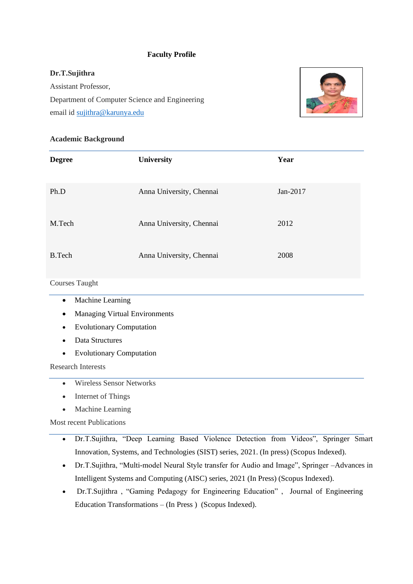## **Faculty Profile**

## **Dr.T.Sujithra**

Assistant Professor, Department of Computer Science and Engineering email id [sujithra@karunya.edu](mailto:sujithra@karunya.edu)



## **Academic Background**

| <b>Degree</b> | University               | Year     |
|---------------|--------------------------|----------|
| Ph.D          | Anna University, Chennai | Jan-2017 |
| M.Tech        | Anna University, Chennai | 2012     |
| <b>B.Tech</b> | Anna University, Chennai | 2008     |

## Courses Taught

- Machine Learning
- Managing Virtual Environments
- Evolutionary Computation
- Data Structures
- Evolutionary Computation

Research Interests

- Wireless Sensor Networks
- Internet of Things
- Machine Learning

Most recent Publications

- Dr.T.Sujithra, "Deep Learning Based Violence Detection from Videos", Springer Smart Innovation, Systems, and Technologies (SIST) series, 2021. (In press) (Scopus Indexed).
- Dr.T.Sujithra, "Multi-model Neural Style transfer for Audio and Image", Springer –Advances in Intelligent Systems and Computing (AISC) series, 2021 (In Press) (Scopus Indexed).
- Dr.T.Sujithra , "Gaming Pedagogy for Engineering Education" , Journal of Engineering Education Transformations – (In Press ) (Scopus Indexed).